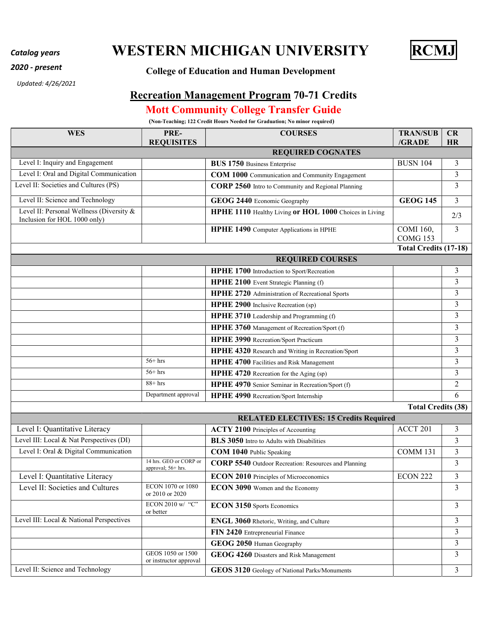## Catalog years **WESTERN MICHIGAN UNIVERSITY** RCMJ



## 2020 - present College of Education and Human Development

Updated: 4/26/2021

## Recreation Management Program 70-71 Credits

## Mott Community College Transfer Guide

(Non-Teaching; 122 Credit Hours Needed for Graduation; No minor required)

| <b>WES</b>                                                               | PRE-                                         | <b>COURSES</b>                                              | <b>TRAN/SUB</b>                     | CR             |
|--------------------------------------------------------------------------|----------------------------------------------|-------------------------------------------------------------|-------------------------------------|----------------|
|                                                                          | <b>REQUISITES</b>                            | <b>REQUIRED COGNATES</b>                                    | /GRADE                              | HR             |
| Level I: Inquiry and Engagement                                          |                                              | <b>BUS 1750 Business Enterprise</b>                         | <b>BUSN 104</b>                     | 3              |
| Level I: Oral and Digital Communication                                  |                                              | COM 1000 Communication and Community Engagement             |                                     | 3              |
| Level II: Societies and Cultures (PS)                                    |                                              | CORP 2560 Intro to Community and Regional Planning          |                                     | 3              |
|                                                                          |                                              |                                                             |                                     |                |
| Level II: Science and Technology                                         |                                              | GEOG 2440 Economic Geography                                | <b>GEOG 145</b>                     | 3              |
| Level II: Personal Wellness (Diversity &<br>Inclusion for HOL 1000 only) |                                              | HPHE 1110 Healthy Living or HOL 1000 Choices in Living      |                                     | 2/3            |
|                                                                          |                                              | HPHE 1490 Computer Applications in HPHE                     | <b>COMI</b> 160,<br><b>COMG 153</b> | 3              |
|                                                                          |                                              |                                                             | <b>Total Credits (17-18)</b>        |                |
|                                                                          |                                              | <b>REQUIRED COURSES</b>                                     |                                     |                |
|                                                                          |                                              | HPHE 1700 Introduction to Sport/Recreation                  |                                     | 3              |
|                                                                          |                                              | HPHE 2100 Event Strategic Planning (f)                      |                                     | 3              |
|                                                                          |                                              | HPHE 2720 Administration of Recreational Sports             |                                     | 3              |
|                                                                          |                                              | HPHE 2900 Inclusive Recreation (sp)                         |                                     | 3              |
|                                                                          |                                              | HPHE 3710 Leadership and Programming (f)                    |                                     | 3              |
|                                                                          |                                              | HPHE 3760 Management of Recreation/Sport (f)                |                                     | 3              |
|                                                                          |                                              | HPHE 3990 Recreation/Sport Practicum                        |                                     | 3              |
|                                                                          |                                              | HPHE 4320 Research and Writing in Recreation/Sport          |                                     | $\overline{3}$ |
|                                                                          | $56+$ hrs                                    | HPHE 4700 Facilities and Risk Management                    |                                     | 3              |
|                                                                          | $56+$ hrs                                    | HPHE 4720 Recreation for the Aging (sp)                     |                                     | 3              |
|                                                                          | $88 + hrs$                                   | HPHE 4970 Senior Seminar in Recreation/Sport (f)            |                                     | $\overline{2}$ |
|                                                                          | Department approval                          | HPHE 4990 Recreation/Sport Internship                       |                                     | 6              |
|                                                                          |                                              |                                                             | <b>Total Credits (38)</b>           |                |
|                                                                          |                                              | <b>RELATED ELECTIVES: 15 Credits Required</b>               |                                     |                |
| Level I: Quantitative Literacy                                           |                                              | <b>ACTY 2100</b> Principles of Accounting                   | ACCT 201                            | 3              |
| Level III: Local & Nat Perspectives (DI)                                 |                                              | <b>BLS</b> 3050 Intro to Adults with Disabilities           |                                     | 3              |
| Level I: Oral & Digital Communication                                    |                                              | COM 1040 Public Speaking                                    | <b>COMM 131</b>                     | $\overline{3}$ |
|                                                                          | 14 hrs. GEO or CORP or<br>approval; 56+ hrs. | <b>CORP 5540</b> Outdoor Recreation: Resources and Planning |                                     | 3              |
| Level I: Quantitative Literacy                                           |                                              | <b>ECON 2010</b> Principles of Microeconomics               | <b>ECON 222</b>                     | 3              |
| Level II: Societies and Cultures                                         | ECON 1070 or 1080<br>or 2010 or 2020         | <b>ECON 3090</b> Women and the Economy                      |                                     | 3              |
|                                                                          | ECON 2010 w/ "C"<br>or better                | <b>ECON 3150</b> Sports Economics                           |                                     | $\overline{3}$ |
| Level III: Local & National Perspectives                                 |                                              | ENGL 3060 Rhetoric, Writing, and Culture                    |                                     | $\overline{3}$ |
|                                                                          |                                              | FIN 2420 Entrepreneurial Finance                            |                                     | 3              |
|                                                                          |                                              | GEOG 2050 Human Geography                                   |                                     | 3              |
|                                                                          | GEOS 1050 or 1500<br>or instructor approval  | GEOG 4260 Disasters and Risk Management                     |                                     | 3              |
| Level II: Science and Technology                                         |                                              | GEOS 3120 Geology of National Parks/Monuments               |                                     | 3              |